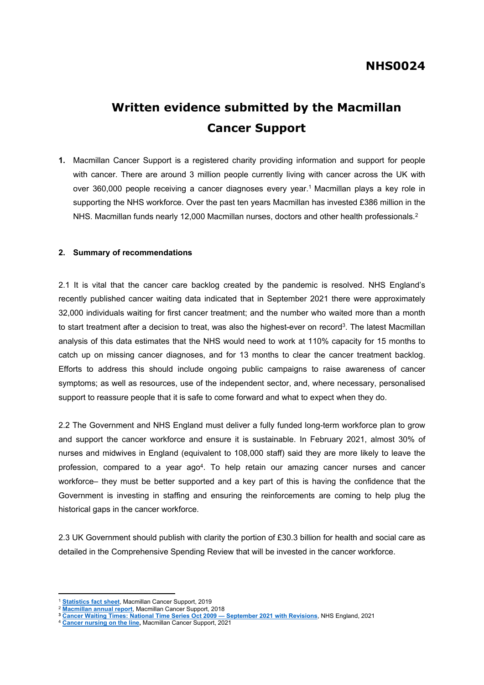## **NHS0024**

# **Written evidence submitted by the Macmillan Cancer Support**

**1.** Macmillan Cancer Support is a registered charity providing information and support for people with cancer. There are around 3 million people currently living with cancer across the UK with over 360,000 people receiving a cancer diagnoses every year.<sup>1</sup> Macmillan plays a key role in supporting the NHS workforce. Over the past ten years Macmillan has invested £386 million in the NHS. Macmillan funds nearly 12,000 Macmillan nurses, doctors and other health professionals.<sup>2</sup>

#### **2. Summary of recommendations**

2.1 It is vital that the cancer care backlog created by the pandemic is resolved. NHS England's recently published cancer waiting data indicated that in September 2021 there were approximately 32,000 individuals waiting for first cancer treatment; and the number who waited more than a month to start treatment after a decision to treat, was also the highest-ever on record<sup>3</sup>. The latest Macmillan analysis of this data estimates that the NHS would need to work at 110% capacity for 15 months to catch up on missing cancer diagnoses, and for 13 months to clear the cancer treatment backlog. Efforts to address this should include ongoing public campaigns to raise awareness of cancer symptoms; as well as resources, use of the independent sector, and, where necessary, personalised support to reassure people that it is safe to come forward and what to expect when they do.

2.2 The Government and NHS England must deliver a fully funded long-term workforce plan to grow and support the cancer workforce and ensure it is sustainable. In February 2021, almost 30% of nurses and midwives in England (equivalent to 108,000 staff) said they are more likely to leave the profession, compared to a year ago<sup>4</sup>. To help retain our amazing cancer nurses and cancer workforce– they must be better supported and a key part of this is having the confidence that the Government is investing in staffing and ensuring the reinforcements are coming to help plug the historical gaps in the cancer workforce.

2.3 UK Government should publish with clarity the portion of £30.3 billion for health and social care as detailed in the Comprehensive Spending Review that will be invested in the cancer workforce.

<sup>1</sup> **[Statistics](https://www.macmillan.org.uk/_images/cancer-statistics-factsheet_tcm9260514.pdf) [fact](https://www.macmillan.org.uk/_images/cancer-statistics-factsheet_tcm9260514.pdf) [sheet](https://www.macmillan.org.uk/_images/cancer-statistics-factsheet_tcm9260514.pdf)**, Macmillan Cancer Support, 2019

<sup>2</sup> **[Macmillan](https://www.macmillan.org.uk/_images/macmillan-2018-annual-report-andaccounts_tcm9-354056.pdf) [annual](https://www.macmillan.org.uk/_images/macmillan-2018-annual-report-andaccounts_tcm9-354056.pdf) [report](https://www.macmillan.org.uk/_images/macmillan-2018-annual-report-andaccounts_tcm9-354056.pdf)**, Macmillan Cancer Support, 2018

**<sup>3</sup> [Cancer](https://www.england.nhs.uk/statistics/statistical-work-areas/cancer-waiting-times/) [Waiting](https://www.england.nhs.uk/statistics/statistical-work-areas/cancer-waiting-times/) [Times:](https://www.england.nhs.uk/statistics/statistical-work-areas/cancer-waiting-times/) [National](https://www.england.nhs.uk/statistics/statistical-work-areas/cancer-waiting-times/) [Time](https://www.england.nhs.uk/statistics/statistical-work-areas/cancer-waiting-times/) [Series](https://www.england.nhs.uk/statistics/statistical-work-areas/cancer-waiting-times/) [Oct](https://www.england.nhs.uk/statistics/statistical-work-areas/cancer-waiting-times/) [2009](https://www.england.nhs.uk/statistics/statistical-work-areas/cancer-waiting-times/) [—](https://www.england.nhs.uk/statistics/statistical-work-areas/cancer-waiting-times/) [September](https://www.england.nhs.uk/statistics/statistical-work-areas/cancer-waiting-times/) [2021](https://www.england.nhs.uk/statistics/statistical-work-areas/cancer-waiting-times/) [with](https://www.england.nhs.uk/statistics/statistical-work-areas/cancer-waiting-times/) [Revisions](https://www.england.nhs.uk/statistics/statistical-work-areas/cancer-waiting-times/)**, NHS England, 2021

<sup>4</sup> **[Cancer](https://www.macmillan.org.uk/dfsmedia/1a6f23537f7f4519bb0cf14c45b2a629/4323-10061/cancer-nursing-on-the-line-why-we-need-urgent-investment-in-the-uk) [nursing](https://www.macmillan.org.uk/dfsmedia/1a6f23537f7f4519bb0cf14c45b2a629/4323-10061/cancer-nursing-on-the-line-why-we-need-urgent-investment-in-the-uk) [on](https://www.macmillan.org.uk/dfsmedia/1a6f23537f7f4519bb0cf14c45b2a629/4323-10061/cancer-nursing-on-the-line-why-we-need-urgent-investment-in-the-uk) [the](https://www.macmillan.org.uk/dfsmedia/1a6f23537f7f4519bb0cf14c45b2a629/4323-10061/cancer-nursing-on-the-line-why-we-need-urgent-investment-in-the-uk) [line](https://www.macmillan.org.uk/dfsmedia/1a6f23537f7f4519bb0cf14c45b2a629/4323-10061/cancer-nursing-on-the-line-why-we-need-urgent-investment-in-the-uk),** Macmillan Cancer Support, 2021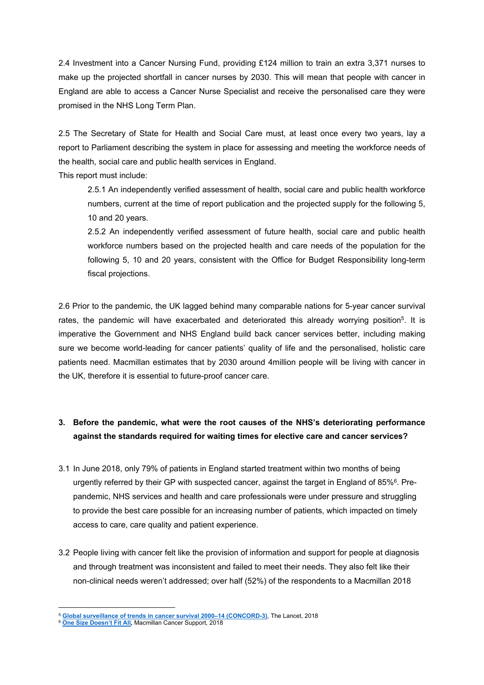2.4 Investment into a Cancer Nursing Fund, providing £124 million to train an extra 3,371 nurses to make up the projected shortfall in cancer nurses by 2030. This will mean that people with cancer in England are able to access a Cancer Nurse Specialist and receive the personalised care they were promised in the NHS Long Term Plan.

2.5 The Secretary of State for Health and Social Care must, at least once every two years, lay a report to Parliament describing the system in place for assessing and meeting the workforce needs of the health, social care and public health services in England.

This report must include:

2.5.1 An independently verified assessment of health, social care and public health workforce numbers, current at the time of report publication and the projected supply for the following 5, 10 and 20 years.

2.5.2 An independently verified assessment of future health, social care and public health workforce numbers based on the projected health and care needs of the population for the following 5, 10 and 20 years, consistent with the Office for Budget Responsibility long-term fiscal projections.

2.6 Prior to the pandemic, the UK lagged behind many comparable nations for 5-year cancer survival rates, the pandemic will have exacerbated and deteriorated this already worrying position<sup>5</sup>. It is imperative the Government and NHS England build back cancer services better, including making sure we become world-leading for cancer patients' quality of life and the personalised, holistic care patients need. Macmillan estimates that by 2030 around 4million people will be living with cancer in the UK, therefore it is essential to future-proof cancer care.

### **3. Before the pandemic, what were the root causes of the NHS's deteriorating performance against the standards required for waiting times for elective care and cancer services?**

- 3.1 In June 2018, only 79% of patients in England started treatment within two months of being urgently referred by their GP with suspected cancer, against the target in England of 85%<sup>6</sup>. Prepandemic, NHS services and health and care professionals were under pressure and struggling to provide the best care possible for an increasing number of patients, which impacted on timely access to care, care quality and patient experience.
- 3.2 People living with cancer felt like the provision of information and support for people at diagnosis and through treatment was inconsistent and failed to meet their needs. They also felt like their non-clinical needs weren't addressed; over half (52%) of the respondents to a Macmillan 2018

<sup>5</sup> **[Global](https://www.thelancet.com/journals/lancet/article/PIIS0140-6736(17)33326-3/fulltext#articleInformation) [surveillance](https://www.thelancet.com/journals/lancet/article/PIIS0140-6736(17)33326-3/fulltext#articleInformation) [of](https://www.thelancet.com/journals/lancet/article/PIIS0140-6736(17)33326-3/fulltext#articleInformation) [trends](https://www.thelancet.com/journals/lancet/article/PIIS0140-6736(17)33326-3/fulltext#articleInformation) [in](https://www.thelancet.com/journals/lancet/article/PIIS0140-6736(17)33326-3/fulltext#articleInformation) [cancer](https://www.thelancet.com/journals/lancet/article/PIIS0140-6736(17)33326-3/fulltext#articleInformation) [survival](https://www.thelancet.com/journals/lancet/article/PIIS0140-6736(17)33326-3/fulltext#articleInformation) [2000–14](https://www.thelancet.com/journals/lancet/article/PIIS0140-6736(17)33326-3/fulltext#articleInformation) [\(CONCORD-3\)](https://www.thelancet.com/journals/lancet/article/PIIS0140-6736(17)33326-3/fulltext#articleInformation)**, The Lancet, 2018

<sup>6</sup> **[One](https://www.macmillan.org.uk/_images/one-size-doesnt-fit-all-report-web_tcm9-341625.pdf) [Size](https://www.macmillan.org.uk/_images/one-size-doesnt-fit-all-report-web_tcm9-341625.pdf) [Doesn't](https://www.macmillan.org.uk/_images/one-size-doesnt-fit-all-report-web_tcm9-341625.pdf) [Fit](https://www.macmillan.org.uk/_images/one-size-doesnt-fit-all-report-web_tcm9-341625.pdf) [All,](https://www.macmillan.org.uk/_images/one-size-doesnt-fit-all-report-web_tcm9-341625.pdf)** Macmillan Cancer Support, 2018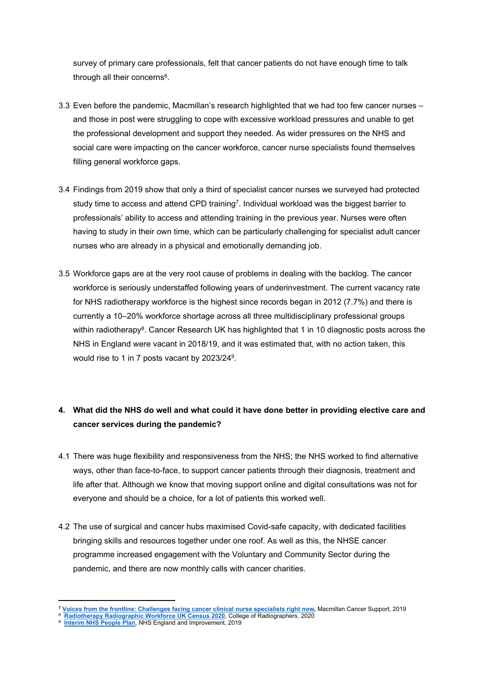survey of primary care professionals, felt that cancer patients do not have enough time to talk through all their concerns<sup>6</sup>.

- 3.3 Even before the pandemic, Macmillan's research highlighted that we had too few cancer nurses and those in post were struggling to cope with excessive workload pressures and unable to get the professional development and support they needed. As wider pressures on the NHS and social care were impacting on the cancer workforce, cancer nurse specialists found themselves filling general workforce gaps.
- 3.4 Findings from 2019 show that only a third of specialist cancer nurses we surveyed had protected study time to access and attend CPD training<sup>7</sup>. Individual workload was the biggest barrier to professionals' ability to access and attending training in the previous year. Nurses were often having to study in their own time, which can be particularly challenging for specialist adult cancer nurses who are already in a physical and emotionally demanding job.
- 3.5 Workforce gaps are at the very root cause of problems in dealing with the backlog. The cancer workforce is seriously understaffed following years of underinvestment. The current vacancy rate for NHS radiotherapy workforce is the highest since records began in 2012 (7.7%) and there is currently a 10–20% workforce shortage across all three multidisciplinary professional groups within radiotherapy<sup>8</sup>. Cancer Research UK has highlighted that 1 in 10 diagnostic posts across the NHS in England were vacant in 2018/19, and it was estimated that, with no action taken, this would rise to 1 in 7 posts vacant by 2023/24<sup>9</sup>.

## 4. What did the NHS do well and what could it have done better in providing elective care and **cancer services during the pandemic?**

- 4.1 There was huge flexibility and responsiveness from the NHS; the NHS worked to find alternative ways, other than face-to-face, to support cancer patients through their diagnosis, treatment and life after that. Although we know that moving support online and digital consultations was not for everyone and should be a choice, for a lot of patients this worked well.
- 4.2 The use of surgical and cancer hubs maximised Covid-safe capacity, with dedicated facilities bringing skills and resources together under one roof. As well as this, the NHSE cancer programme increased engagement with the Voluntary and Community Sector during the pandemic, and there are now monthly calls with cancer charities.

<sup>&</sup>lt;sup>7</sup> [Voices](https://www.macmillan.org.uk/_images/voices-from-the-frontline-september-2019_tcm9-355168.pdf) [from](https://www.macmillan.org.uk/_images/voices-from-the-frontline-september-2019_tcm9-355168.pdf) [the](https://www.macmillan.org.uk/_images/voices-from-the-frontline-september-2019_tcm9-355168.pdf) [frontline:](https://www.macmillan.org.uk/_images/voices-from-the-frontline-september-2019_tcm9-355168.pdf) [Challenges](https://www.macmillan.org.uk/_images/voices-from-the-frontline-september-2019_tcm9-355168.pdf) [facing](https://www.macmillan.org.uk/_images/voices-from-the-frontline-september-2019_tcm9-355168.pdf) [cancer](https://www.macmillan.org.uk/_images/voices-from-the-frontline-september-2019_tcm9-355168.pdf) [clinical](https://www.macmillan.org.uk/_images/voices-from-the-frontline-september-2019_tcm9-355168.pdf) [nurse](https://www.macmillan.org.uk/_images/voices-from-the-frontline-september-2019_tcm9-355168.pdf) [specialists](https://www.macmillan.org.uk/_images/voices-from-the-frontline-september-2019_tcm9-355168.pdf) [right](https://www.macmillan.org.uk/_images/voices-from-the-frontline-september-2019_tcm9-355168.pdf) [now,](https://www.macmillan.org.uk/_images/voices-from-the-frontline-september-2019_tcm9-355168.pdf) Macmillan Cancer Support, 2019<br><sup>8</sup> [Radiotherapy](https://www.sor.org/learning-advice/professional-body-guidance-and-publications/documents-and-publications/reports-and-surveys/radiotherapy-radiographic-workforce-uk-census-(1)) [Radiographic](https://www.sor.org/learning-advice/professional-body-guidance-and-publications/documents-and-publications/reports-and-surveys/radiotherapy-radiographic-workforce-uk-census-(1)) [Workforce](https://www.sor.org/learning-advice/professional-body-guidance-and-publications/documents-and-publications/reports-and-surveys/radiotherapy-radiographic-workforce-uk-census-(1)) [UK](https://www.sor.org/learning-advice/professional-body-guidance-and-publications/documents-and-publications/reports-and-surveys/radiotherapy-radiographic-workforce-uk-census-(1)) [Census](https://www.sor.org/learning-advice/professional-body-guidance-and-publications/documents-and-publications/reports-and-surveys/radiotherapy-radiographic-workforce-uk-census-(1)) [2020](https://www.sor.org/learning-advice/professional-body-guidance-and-publications/documents-and-publications/reports-and-surveys/radiotherapy-radiographic-workforce-uk-census-(1)), College of Radiographers, 2020

<sup>9</sup>  **[Interim](https://www.longtermplan.nhs.uk/wp-content/uploads/2019/05/Interim-NHS-People-Plan_June2019.pdf) [NHS](https://www.longtermplan.nhs.uk/wp-content/uploads/2019/05/Interim-NHS-People-Plan_June2019.pdf) [People](https://www.longtermplan.nhs.uk/wp-content/uploads/2019/05/Interim-NHS-People-Plan_June2019.pdf) [Plan](https://www.longtermplan.nhs.uk/wp-content/uploads/2019/05/Interim-NHS-People-Plan_June2019.pdf)**, NHS England and Improvement, 2019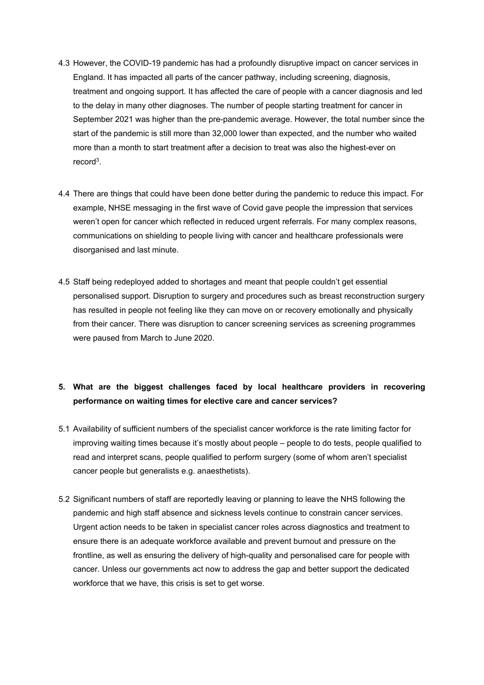- 4.3 However, the COVID-19 pandemic has had a profoundly disruptive impact on cancer services in England. It has impacted all parts of the cancer pathway, including screening, diagnosis, treatment and ongoing support. It has affected the care of people with a cancer diagnosis and led to the delay in many other diagnoses. The number of people starting treatment for cancer in September 2021 was higher than the pre-pandemic average. However, the total number since the start of the pandemic is still more than 32,000 lower than expected, and the number who waited more than a month to start treatment after a decision to treat was also the highest-ever on record<sup>3</sup>.
- 4.4 There are things that could have been done better during the pandemic to reduce this impact. For example, NHSE messaging in the first wave of Covid gave people the impression that services weren't open for cancer which reflected in reduced urgent referrals. For many complex reasons, communications on shielding to people living with cancer and healthcare professionals were disorganised and last minute.
- 4.5 Staff being redeployed added to shortages and meant that people couldn't get essential personalised support. Disruption to surgery and procedures such as breast reconstruction surgery has resulted in people not feeling like they can move on or recovery emotionally and physically from their cancer. There was disruption to cancer screening services as screening programmes were paused from March to June 2020.

#### **5. What are the biggest challenges faced by local healthcare providers in recovering performance on waiting times for elective care and cancer services?**

- 5.1 Availability of sufficient numbers of the specialist cancer workforce is the rate limiting factor for improving waiting times because it's mostly about people – people to do tests, people qualified to read and interpret scans, people qualified to perform surgery (some of whom aren't specialist cancer people but generalists e.g. anaesthetists).
- 5.2 Significant numbers of staff are reportedly leaving or planning to leave the NHS following the pandemic and high staff absence and sickness levels continue to constrain cancer services. Urgent action needs to be taken in specialist cancer roles across diagnostics and treatment to ensure there is an adequate workforce available and prevent burnout and pressure on the frontline, as well as ensuring the delivery of high-quality and personalised care for people with cancer. Unless our governments act now to address the gap and better support the dedicated workforce that we have, this crisis is set to get worse.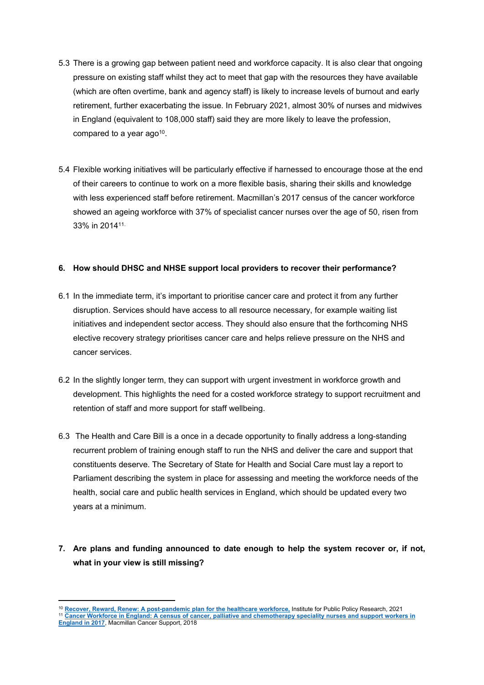- 5.3 There is a growing gap between patient need and workforce capacity. It is also clear that ongoing pressure on existing staff whilst they act to meet that gap with the resources they have available (which are often overtime, bank and agency staff) is likely to increase levels of burnout and early retirement, further exacerbating the issue. In February 2021, almost 30% of nurses and midwives in England (equivalent to 108,000 staff) said they are more likely to leave the profession, compared to a year ago $10$ .
- 5.4 Flexible working initiatives will be particularly effective if harnessed to encourage those at the end of their careers to continue to work on a more flexible basis, sharing their skills and knowledge with less experienced staff before retirement. Macmillan's 2017 census of the cancer workforce showed an ageing workforce with 37% of specialist cancer nurses over the age of 50, risen from 33% in 201411.

#### **6. How should DHSC and NHSE support local providers to recover their performance?**

- 6.1 In the immediate term, it's important to prioritise cancer care and protect it from any further disruption. Services should have access to all resource necessary, for example waiting list initiatives and independent sector access. They should also ensure that the forthcoming NHS elective recovery strategy prioritises cancer care and helps relieve pressure on the NHS and cancer services.
- 6.2 In the slightly longer term, they can support with urgent investment in workforce growth and development. This highlights the need for a costed workforce strategy to support recruitment and retention of staff and more support for staff wellbeing.
- 6.3 The Health and Care Bill is a once in a decade opportunity to finally address a long-standing recurrent problem of training enough staff to run the NHS and deliver the care and support that constituents deserve. The Secretary of State for Health and Social Care must lay a report to Parliament describing the system in place for assessing and meeting the workforce needs of the health, social care and public health services in England, which should be updated every two years at a minimum.
- **7. Are plans and funding announced to date enough to help the system recover or, if not, what in your view is still missing?**

<sup>10</sup> **[Recover,](https://www.ippr.org/files/2021-03/recover-reward-renew-march-21.pdf) [Reward,](https://www.ippr.org/files/2021-03/recover-reward-renew-march-21.pdf) [Renew:](https://www.ippr.org/files/2021-03/recover-reward-renew-march-21.pdf) [A](https://www.ippr.org/files/2021-03/recover-reward-renew-march-21.pdf) [post-pandemic](https://www.ippr.org/files/2021-03/recover-reward-renew-march-21.pdf) [plan](https://www.ippr.org/files/2021-03/recover-reward-renew-march-21.pdf) [for](https://www.ippr.org/files/2021-03/recover-reward-renew-march-21.pdf) [the](https://www.ippr.org/files/2021-03/recover-reward-renew-march-21.pdf) [healthcare](https://www.ippr.org/files/2021-03/recover-reward-renew-march-21.pdf) [workforce,](https://www.ippr.org/files/2021-03/recover-reward-renew-march-21.pdf)** Institute for Public Policy Research, 2021 <sup>11</sup> [Cancer](https://www.macmillan.org.uk/_images/cancer-workforce-in-england-census-of-cancer-palliative-and-chemotheraphy-speciality-nurses-and-support-workers-2017_tcm9-325727.pdf) [Workforce](https://www.macmillan.org.uk/_images/cancer-workforce-in-england-census-of-cancer-palliative-and-chemotheraphy-speciality-nurses-and-support-workers-2017_tcm9-325727.pdf) [in](https://www.macmillan.org.uk/_images/cancer-workforce-in-england-census-of-cancer-palliative-and-chemotheraphy-speciality-nurses-and-support-workers-2017_tcm9-325727.pdf) [England:](https://www.macmillan.org.uk/_images/cancer-workforce-in-england-census-of-cancer-palliative-and-chemotheraphy-speciality-nurses-and-support-workers-2017_tcm9-325727.pdf) [A](https://www.macmillan.org.uk/_images/cancer-workforce-in-england-census-of-cancer-palliative-and-chemotheraphy-speciality-nurses-and-support-workers-2017_tcm9-325727.pdf) [census](https://www.macmillan.org.uk/_images/cancer-workforce-in-england-census-of-cancer-palliative-and-chemotheraphy-speciality-nurses-and-support-workers-2017_tcm9-325727.pdf) [of](https://www.macmillan.org.uk/_images/cancer-workforce-in-england-census-of-cancer-palliative-and-chemotheraphy-speciality-nurses-and-support-workers-2017_tcm9-325727.pdf) [cancer,](https://www.macmillan.org.uk/_images/cancer-workforce-in-england-census-of-cancer-palliative-and-chemotheraphy-speciality-nurses-and-support-workers-2017_tcm9-325727.pdf) [palliative](https://www.macmillan.org.uk/_images/cancer-workforce-in-england-census-of-cancer-palliative-and-chemotheraphy-speciality-nurses-and-support-workers-2017_tcm9-325727.pdf) [and](https://www.macmillan.org.uk/_images/cancer-workforce-in-england-census-of-cancer-palliative-and-chemotheraphy-speciality-nurses-and-support-workers-2017_tcm9-325727.pdf) [chemotherapy](https://www.macmillan.org.uk/_images/cancer-workforce-in-england-census-of-cancer-palliative-and-chemotheraphy-speciality-nurses-and-support-workers-2017_tcm9-325727.pdf) [speciality](https://www.macmillan.org.uk/_images/cancer-workforce-in-england-census-of-cancer-palliative-and-chemotheraphy-speciality-nurses-and-support-workers-2017_tcm9-325727.pdf) [nurses](https://www.macmillan.org.uk/_images/cancer-workforce-in-england-census-of-cancer-palliative-and-chemotheraphy-speciality-nurses-and-support-workers-2017_tcm9-325727.pdf) and [support](https://www.macmillan.org.uk/_images/cancer-workforce-in-england-census-of-cancer-palliative-and-chemotheraphy-speciality-nurses-and-support-workers-2017_tcm9-325727.pdf) [workers](https://www.macmillan.org.uk/_images/cancer-workforce-in-england-census-of-cancer-palliative-and-chemotheraphy-speciality-nurses-and-support-workers-2017_tcm9-325727.pdf) in **[England](https://www.macmillan.org.uk/_images/cancer-workforce-in-england-census-of-cancer-palliative-and-chemotheraphy-speciality-nurses-and-support-workers-2017_tcm9-325727.pdf) [in](https://www.macmillan.org.uk/_images/cancer-workforce-in-england-census-of-cancer-palliative-and-chemotheraphy-speciality-nurses-and-support-workers-2017_tcm9-325727.pdf) [2017](https://www.macmillan.org.uk/_images/cancer-workforce-in-england-census-of-cancer-palliative-and-chemotheraphy-speciality-nurses-and-support-workers-2017_tcm9-325727.pdf)**, Macmillan Cancer Support, 2018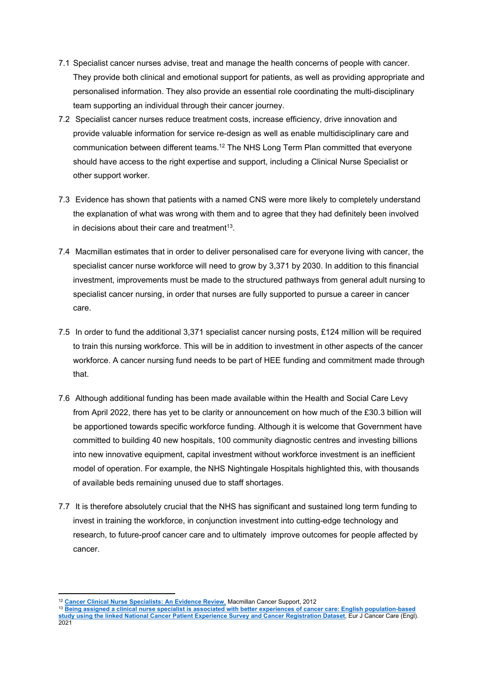- 7.1 Specialist cancer nurses advise, treat and manage the health concerns of people with cancer. They provide both clinical and emotional support for patients, as well as providing appropriate and personalised information. They also provide an essential role coordinating the multi-disciplinary team supporting an individual through their cancer journey.
- 7.2 Specialist cancer nurses reduce treatment costs, increase efficiency, drive innovation and provide valuable information for service re-design as well as enable multidisciplinary care and communication between different teams.<sup>12</sup> The NHS Long Term Plan committed that everyone should have access to the right expertise and support, including a Clinical Nurse Specialist or other support worker.
- 7.3 Evidence has shown that patients with a named CNS were more likely to completely understand the explanation of what was wrong with them and to agree that they had definitely been involved in decisions about their care and treatment<sup>13</sup>.
- 7.4 Macmillan estimates that in order to deliver personalised care for everyone living with cancer, the specialist cancer nurse workforce will need to grow by 3,371 by 2030. In addition to this financial investment, improvements must be made to the structured pathways from general adult nursing to specialist cancer nursing, in order that nurses are fully supported to pursue a career in cancer care.
- 7.5 In order to fund the additional 3,371 specialist cancer nursing posts, £124 million will be required to train this nursing workforce. This will be in addition to investment in other aspects of the cancer workforce. A cancer nursing fund needs to be part of HEE funding and commitment made through that.
- 7.6 Although additional funding has been made available within the Health and Social Care Levy from April 2022, there has yet to be clarity or announcement on how much of the £30.3 billion will be apportioned towards specific workforce funding. Although it is welcome that Government have committed to building 40 new hospitals, 100 community diagnostic centres and investing billions into new innovative equipment, capital investment without workforce investment is an inefficient model of operation. For example, the NHS Nightingale Hospitals highlighted this, with thousands of available beds remaining unused due to staff shortages.
- 7.7 It is therefore absolutely crucial that the NHS has significant and sustained long term funding to invest in training the workforce, in conjunction investment into cutting-edge technology and research, to future-proof cancer care and to ultimately improve outcomes for people affected by cancer.

<sup>12</sup> **[Cancer](https://www.macmillan.org.uk/documents/aboutus/commissioners/clinicalnursespecialistsanevidencereview2012.pdf) [Clinical](https://www.macmillan.org.uk/documents/aboutus/commissioners/clinicalnursespecialistsanevidencereview2012.pdf) [Nurse](https://www.macmillan.org.uk/documents/aboutus/commissioners/clinicalnursespecialistsanevidencereview2012.pdf) [Specialists:](https://www.macmillan.org.uk/documents/aboutus/commissioners/clinicalnursespecialistsanevidencereview2012.pdf) [An](https://www.macmillan.org.uk/documents/aboutus/commissioners/clinicalnursespecialistsanevidencereview2012.pdf) [Evidence](https://www.macmillan.org.uk/documents/aboutus/commissioners/clinicalnursespecialistsanevidencereview2012.pdf) [Review](https://www.macmillan.org.uk/documents/aboutus/commissioners/clinicalnursespecialistsanevidencereview2012.pdf)**[,](https://www.macmillan.org.uk/documents/aboutus/commissioners/clinicalnursespecialistsanevidencereview2012.pdf) Macmillan Cancer Support, 2012

<sup>&</sup>lt;sup>13</sup> [Being](https://pubmed.ncbi.nlm.nih.gov/34309952/) [assigned](https://pubmed.ncbi.nlm.nih.gov/34309952/) [a](https://pubmed.ncbi.nlm.nih.gov/34309952/) [clinical](https://pubmed.ncbi.nlm.nih.gov/34309952/) [nurse](https://pubmed.ncbi.nlm.nih.gov/34309952/) [specialist](https://pubmed.ncbi.nlm.nih.gov/34309952/) [is](https://pubmed.ncbi.nlm.nih.gov/34309952/) [associated](https://pubmed.ncbi.nlm.nih.gov/34309952/) [with](https://pubmed.ncbi.nlm.nih.gov/34309952/) [better](https://pubmed.ncbi.nlm.nih.gov/34309952/) [experiences](https://pubmed.ncbi.nlm.nih.gov/34309952/) [of](https://pubmed.ncbi.nlm.nih.gov/34309952/) [cancer](https://pubmed.ncbi.nlm.nih.gov/34309952/) [care:](https://pubmed.ncbi.nlm.nih.gov/34309952/) [English](https://pubmed.ncbi.nlm.nih.gov/34309952/) [population-based](https://pubmed.ncbi.nlm.nih.gov/34309952/) **[study](https://pubmed.ncbi.nlm.nih.gov/34309952/) [using](https://pubmed.ncbi.nlm.nih.gov/34309952/) [the](https://pubmed.ncbi.nlm.nih.gov/34309952/) [linked](https://pubmed.ncbi.nlm.nih.gov/34309952/) [National](https://pubmed.ncbi.nlm.nih.gov/34309952/) [Cancer](https://pubmed.ncbi.nlm.nih.gov/34309952/) [Patient](https://pubmed.ncbi.nlm.nih.gov/34309952/) [Experience](https://pubmed.ncbi.nlm.nih.gov/34309952/) [Survey](https://pubmed.ncbi.nlm.nih.gov/34309952/) [and](https://pubmed.ncbi.nlm.nih.gov/34309952/) [Cancer](https://pubmed.ncbi.nlm.nih.gov/34309952/) [Registration](https://pubmed.ncbi.nlm.nih.gov/34309952/) [Dataset](https://pubmed.ncbi.nlm.nih.gov/34309952/)**, Eur J Cancer Care (Engl). 2021